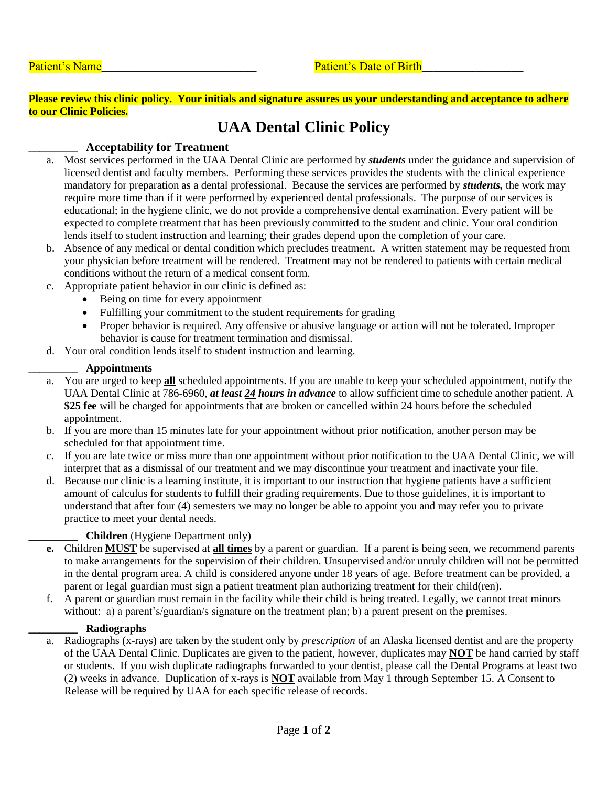**Please review this clinic policy. Your initials and signature assures us your understanding and acceptance to adhere to our Clinic Policies.**

# **UAA Dental Clinic Policy**

# **\_\_\_\_\_\_\_\_\_ Acceptability for Treatment**

- a. Most services performed in the UAA Dental Clinic are performed by *students* under the guidance and supervision of licensed dentist and faculty members. Performing these services provides the students with the clinical experience mandatory for preparation as a dental professional. Because the services are performed by *students,* the work may require more time than if it were performed by experienced dental professionals. The purpose of our services is educational; in the hygiene clinic, we do not provide a comprehensive dental examination. Every patient will be expected to complete treatment that has been previously committed to the student and clinic. Your oral condition lends itself to student instruction and learning; their grades depend upon the completion of your care.
- b. Absence of any medical or dental condition which precludes treatment. A written statement may be requested from your physician before treatment will be rendered. Treatment may not be rendered to patients with certain medical conditions without the return of a medical consent form.
- c. Appropriate patient behavior in our clinic is defined as:
	- Being on time for every appointment
	- Fulfilling your commitment to the student requirements for grading
	- Proper behavior is required. Any offensive or abusive language or action will not be tolerated. Improper behavior is cause for treatment termination and dismissal.
- d. Your oral condition lends itself to student instruction and learning.

### **\_\_\_\_\_\_\_\_\_ Appointments**

- a. You are urged to keep **all** scheduled appointments. If you are unable to keep your scheduled appointment, notify the UAA Dental Clinic at 786-6960, *at least 24 hours in advance* to allow sufficient time to schedule another patient. A **\$25 fee** will be charged for appointments that are broken or cancelled within 24 hours before the scheduled appointment.
- b. If you are more than 15 minutes late for your appointment without prior notification, another person may be scheduled for that appointment time.
- c. If you are late twice or miss more than one appointment without prior notification to the UAA Dental Clinic, we will interpret that as a dismissal of our treatment and we may discontinue your treatment and inactivate your file.
- d. Because our clinic is a learning institute, it is important to our instruction that hygiene patients have a sufficient amount of calculus for students to fulfill their grading requirements. Due to those guidelines, it is important to understand that after four (4) semesters we may no longer be able to appoint you and may refer you to private practice to meet your dental needs.

# **\_\_\_\_\_\_\_\_\_ Children** (Hygiene Department only)

- **e.** Children **MUST** be supervised at **all times** by a parent or guardian. If a parent is being seen, we recommend parents to make arrangements for the supervision of their children. Unsupervised and/or unruly children will not be permitted in the dental program area. A child is considered anyone under 18 years of age. Before treatment can be provided, a parent or legal guardian must sign a patient treatment plan authorizing treatment for their child(ren).
- f. A parent or guardian must remain in the facility while their child is being treated. Legally, we cannot treat minors without: a) a parent's/guardian/s signature on the treatment plan; b) a parent present on the premises.

#### **\_\_\_\_\_\_\_\_\_ Radiographs**

a. Radiographs (x-rays) are taken by the student only by *prescription* of an Alaska licensed dentist and are the property of the UAA Dental Clinic. Duplicates are given to the patient, however, duplicates may **NOT** be hand carried by staff or students. If you wish duplicate radiographs forwarded to your dentist, please call the Dental Programs at least two (2) weeks in advance. Duplication of x-rays is **NOT** available from May 1 through September 15. A Consent to Release will be required by UAA for each specific release of records.